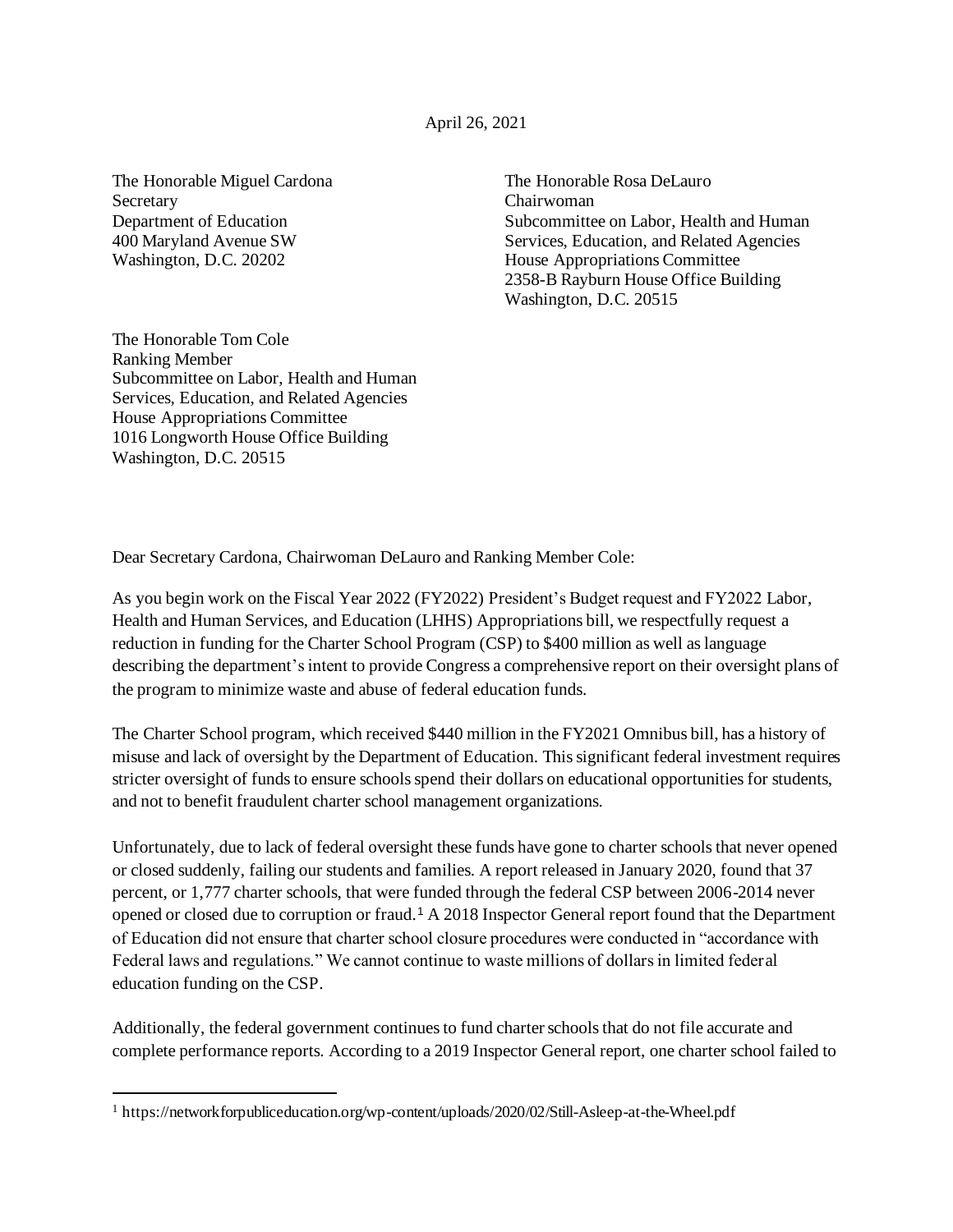The Honorable Miguel Cardona The Honorable Rosa DeLauro Secretary Chairwoman

Department of Education Subcommittee on Labor, Health and Human 400 Maryland Avenue SW Services, Education, and Related Agencies Washington, D.C. 20202 House Appropriations Committee 2358-B Rayburn House Office Building Washington, D.C. 20515

The Honorable Tom Cole Ranking Member Subcommittee on Labor, Health and Human Services, Education, and Related Agencies House Appropriations Committee 1016 Longworth House Office Building Washington, D.C. 20515

Dear Secretary Cardona, Chairwoman DeLauro and Ranking Member Cole:

As you begin work on the Fiscal Year 2022 (FY2022) President's Budget request and FY2022 Labor, Health and Human Services, and Education (LHHS) Appropriations bill, we respectfully request a reduction in funding for the Charter School Program (CSP) to \$400 million as well as language describing the department's intent to provide Congress a comprehensive report on their oversight plans of the program to minimize waste and abuse of federal education funds.

The Charter School program, which received \$440 million in the FY2021 Omnibus bill, has a history of misuse and lack of oversight by the Department of Education. This significant federal investment requires stricter oversight of funds to ensure schools spend their dollars on educational opportunities for students, and not to benefit fraudulent charter school management organizations.

Unfortunately, due to lack of federal oversight these funds have gone to charter schools that never opened or closed suddenly, failing our students and families. A report released in January 2020, found that 37 percent, or 1,777 charter schools, that were funded through the federal CSP between 2006-2014 never opened or closed due to corruption or fraud.<sup>1</sup> A 2018 Inspector General report found that the Department of Education did not ensure that charter school closure procedures were conducted in "accordance with Federal laws and regulations." We cannot continue to waste millions of dollars in limited federal education funding on the CSP.

Additionally, the federal government continues to fund charter schools that do not file accurate and complete performance reports. According to a 2019 Inspector General report, one charter school failed to

<sup>1</sup> <https://networkforpubliceducation.org/wp-content/uploads/2020/02/Still-Asleep-at-the-Wheel.pdf>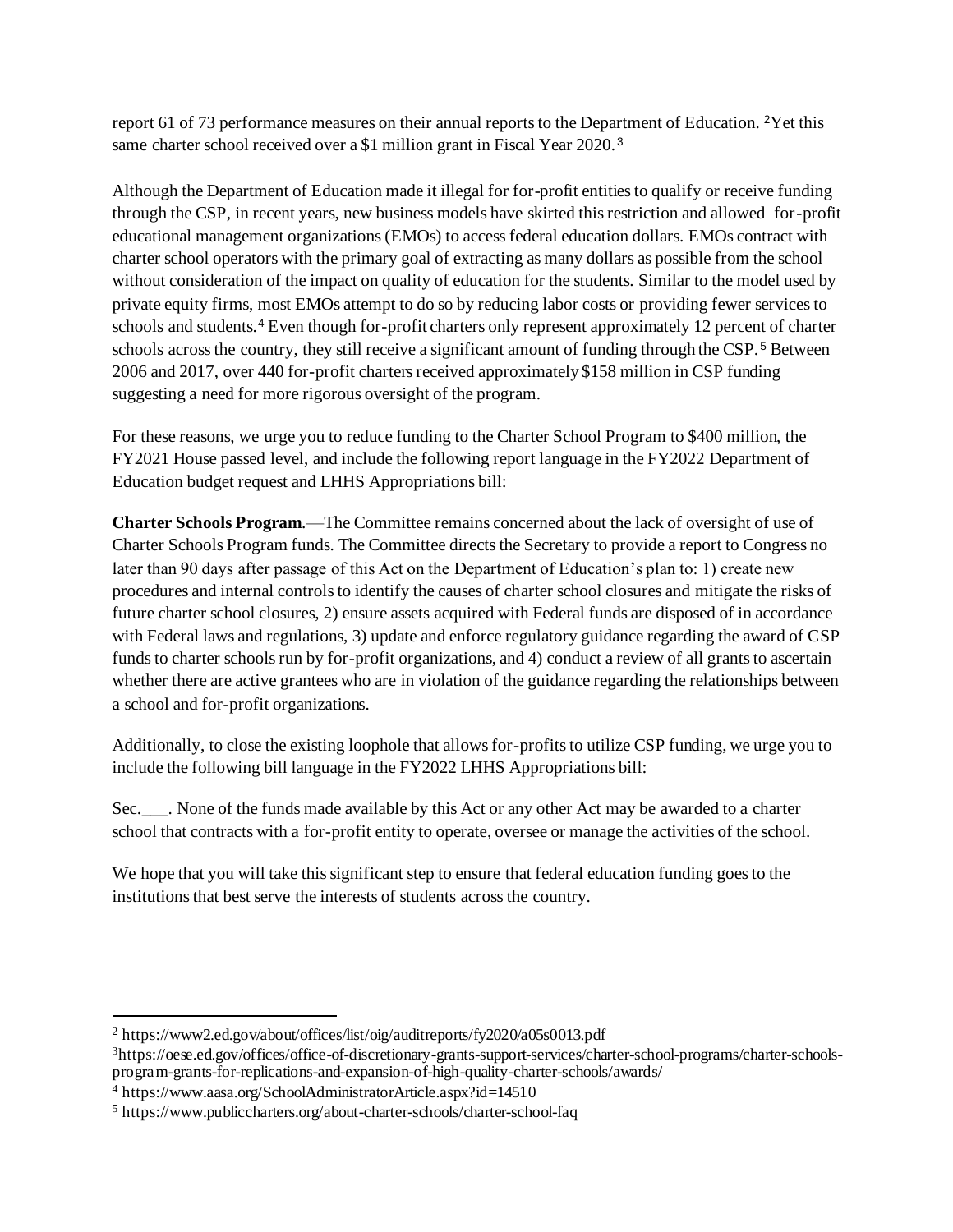report 61 of 73 performance measures on their annual reports to the Department of Education. <sup>2</sup>Yet this same charter school received over a \$1 million grant in Fiscal Year 2020.<sup>3</sup>

Although the Department of Education made it illegal for for-profit entities to qualify or receive funding through the CSP, in recent years, new business models have skirted this restriction and allowed for-profit educational management organizations (EMOs) to access federal education dollars. EMOs contract with charter school operators with the primary goal of extracting as many dollars as possible from the school without consideration of the impact on quality of education for the students. Similar to the model used by private equity firms, most EMOs attempt to do so by reducing labor costs or providing fewer services to schools and students.<sup>4</sup> Even though for-profit charters only represent approximately 12 percent of charter schools across the country, they still receive a significant amount of funding through the CSP. <sup>5</sup> Between 2006 and 2017, over 440 for-profit charters received approximately \$158 million in CSP funding suggesting a need for more rigorous oversight of the program.

For these reasons, we urge you to reduce funding to the Charter School Program to \$400 million, the FY2021 House passed level, and include the following report language in the FY2022 Department of Education budget request and LHHS Appropriations bill:

**Charter Schools Program**.—The Committee remains concerned about the lack of oversight of use of Charter Schools Program funds. The Committee directs the Secretary to provide a report to Congress no later than 90 days after passage of this Act on the Department of Education's plan to: 1) create new procedures and internal controls to identify the causes of charter school closures and mitigate the risks of future charter school closures, 2) ensure assets acquired with Federal funds are disposed of in accordance with Federal laws and regulations, 3) update and enforce regulatory guidance regarding the award of CSP funds to charter schools run by for-profit organizations, and 4) conduct a review of all grants to ascertain whether there are active grantees who are in violation of the guidance regarding the relationships between a school and for-profit organizations.

Additionally, to close the existing loophole that allows for-profits to utilize CSP funding, we urge you to include the following bill language in the FY2022 LHHS Appropriations bill:

Sec.\_\_\_. None of the funds made available by this Act or any other Act may be awarded to a charter school that contracts with a for-profit entity to operate, oversee or manage the activities of the school.

We hope that you will take this significant step to ensure that federal education funding goes to the institutions that best serve the interests of students across the country.

<sup>2</sup> https://www2.ed.gov/about/offices/list/oig/auditreports/fy2020/a05s0013.pdf

<sup>3</sup>https://oese.ed.gov/offices/office-of-discretionary-grants-support-services/charter-school-programs/charter-schoolsprogram-grants-for-replications-and-expansion-of-high-quality-charter-schools/awards/

<sup>4</sup> https://www.aasa.org/SchoolAdministratorArticle.aspx?id=14510

<sup>5</sup> https://www.publiccharters.org/about-charter-schools/charter-school-faq